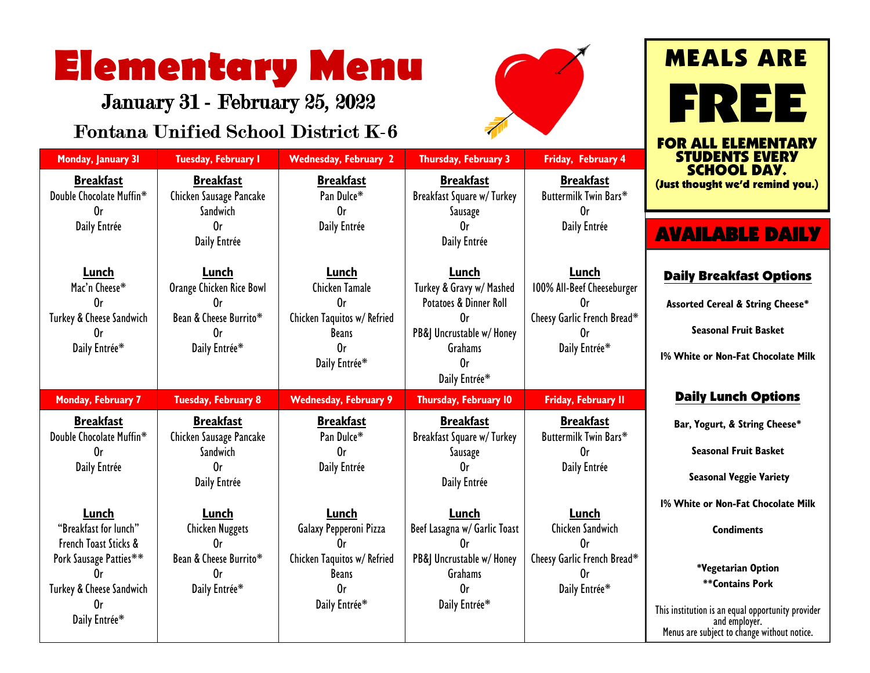## **Elementary Menu**

January 31 - February 25, 2022

### **Fontana Unified School Distri**

**Monday, January 31 <b>Tuesday, February 1 Wednesday, Friday, Franch** 

**Breakfast** Chicken Sausage Pancake Sandwich Or Daily Entrée

**Lunch** Orange Chicken Rice Bowl Or Bean & Cheese Burrito\* Or Daily Entrée\*

**Breakfast** Chicken Sausage Pancake **Sandwich** Or Daily Entrée

**Lunch** Chicken Nuggets Or Bean & Cheese Burrito\* Or Daily Entrée\*

Daily Entrée\*

**Monday, February 7 Tuesday, February 8 Wednesday, February 9 Thursday, February 10 Friday, February 11**

**Breakfast** Pan Dulce\* Or Daily Entrée

**Lunch** Galaxy Pepperoni Pizza Or Chicken Taquitos w/ Refried Beans Or Daily Entrée\*

**Breakfast** Double Chocolate Muffin\* Or Daily Entrée

**Lunch** Mac'n Cheese\* Or Turkey & Cheese Sandwich Or Daily Entrée\*

**Breakfast** Double Chocolate Muffin\* Or Daily Entrée

**Lunch** "Breakfast for lunch" French Toast Sticks & Pork Sausage Patties\*\* Or Turkey & Cheese Sandwich Or Daily Entrée\*



| District K-6                                                               |                                                          | <b>FOR ALL ELE</b>                                              |                                     |  |
|----------------------------------------------------------------------------|----------------------------------------------------------|-----------------------------------------------------------------|-------------------------------------|--|
| <b>Wednesday, February 2</b>                                               | <b>Thursday, February 3</b>                              | Friday, February 4                                              | <b>STUDENTS</b>                     |  |
| <b>Breakfast</b><br>Pan Dulce*<br>0r                                       | <b>Breakfast</b><br>Breakfast Square w/Turkey<br>Sausage | <b>Breakfast</b><br>Buttermilk Twin Bars*<br>0r                 | <b>SCHOOL</b><br>(Just thought we'd |  |
| Daily Entrée                                                               | 0r<br>Daily Entrée                                       | Daily Entrée                                                    | <b>AVAILABL</b>                     |  |
| Lunch<br>Lunch                                                             |                                                          | Lunch                                                           | <b>Daily Breakfa</b>                |  |
| Chicken Tamale<br>Turkey & Gravy w/ Mashed<br>Potatoes & Dinner Roll<br>0r |                                                          | 100% All-Beef Cheeseburger<br>0r<br>Cheesy Garlic French Bread* | Assorted Cereal & :                 |  |
| Chicken Taquitos w/ Refried<br><b>Beans</b>                                | 0r<br>PB& Uncrustable w/ Honey                           |                                                                 | <b>Seasonal Frui</b>                |  |
| 0r                                                                         | Grahams                                                  | Daily Entrée*                                                   |                                     |  |

**Breakfast** Buttermilk Twin Bars\* Or Daily Entrée

**Lunch** Chicken Sandwich Or Cheesy Garlic French Bread\* Or Daily Entrée\*

Or Daily Entrée\*

**Breakfast** Breakfast Square w/ Turkey Sausage Or Daily Entrée

**Lunch** Beef Lasagna w/ Garlic Toast Or PB&J Uncrustable w/ Honey Grahams Or Daily Entrée\*

# MEALS ARE ERI

MENTARY **EVERY** DAY. l remind you.)

## E DAILY

#### st Options

**String Cheese\*** 

**it Rasket** 

**1% White or Non-Fat Chocolate Milk**

#### Daily Lunch Options

**Bar, Yogurt, & String Cheese\***

**Seasonal Fruit Basket** 

**Seasonal Veggie Variety**

**1% White or Non-Fat Chocolate Milk**

**Condiments**

**\*Vegetarian Option \*\*Contains Pork** 

This institution is an equal opportunity provider and employer. Menus are subject to change without notice.